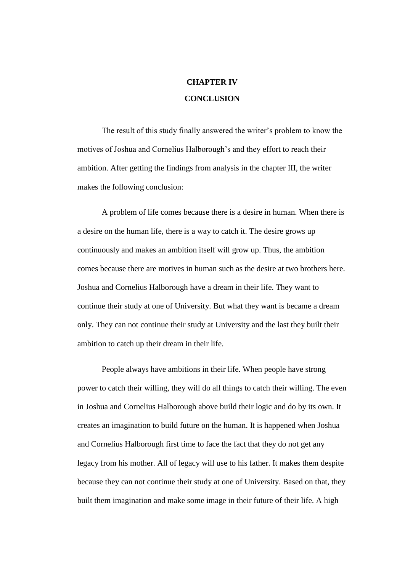## **CHAPTER IV CONCLUSION**

The result of this study finally answered the writer's problem to know the motives of Joshua and Cornelius Halborough's and they effort to reach their ambition. After getting the findings from analysis in the chapter III, the writer makes the following conclusion:

A problem of life comes because there is a desire in human. When there is a desire on the human life, there is a way to catch it. The desire grows up continuously and makes an ambition itself will grow up. Thus, the ambition comes because there are motives in human such as the desire at two brothers here. Joshua and Cornelius Halborough have a dream in their life. They want to continue their study at one of University. But what they want is became a dream only. They can not continue their study at University and the last they built their ambition to catch up their dream in their life.

People always have ambitions in their life. When people have strong power to catch their willing, they will do all things to catch their willing. The even in Joshua and Cornelius Halborough above build their logic and do by its own. It creates an imagination to build future on the human. It is happened when Joshua and Cornelius Halborough first time to face the fact that they do not get any legacy from his mother. All of legacy will use to his father. It makes them despite because they can not continue their study at one of University. Based on that, they built them imagination and make some image in their future of their life. A high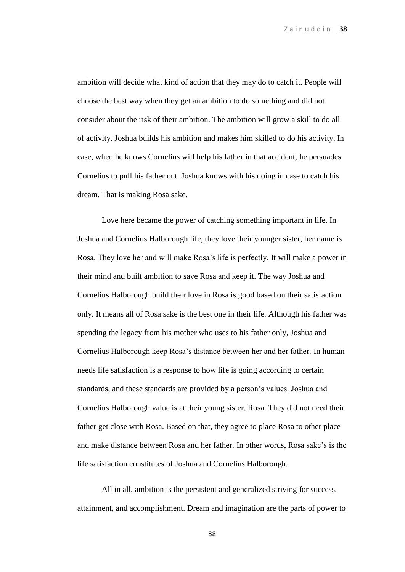ambition will decide what kind of action that they may do to catch it. People will choose the best way when they get an ambition to do something and did not consider about the risk of their ambition. The ambition will grow a skill to do all of activity. Joshua builds his ambition and makes him skilled to do his activity. In case, when he knows Cornelius will help his father in that accident, he persuades Cornelius to pull his father out. Joshua knows with his doing in case to catch his dream. That is making Rosa sake.

Love here became the power of catching something important in life. In Joshua and Cornelius Halborough life, they love their younger sister, her name is Rosa. They love her and will make Rosa's life is perfectly. It will make a power in their mind and built ambition to save Rosa and keep it. The way Joshua and Cornelius Halborough build their love in Rosa is good based on their satisfaction only. It means all of Rosa sake is the best one in their life. Although his father was spending the legacy from his mother who uses to his father only, Joshua and Cornelius Halborough keep Rosa's distance between her and her father. In human needs life satisfaction is a response to how life is going according to certain standards, and these standards are provided by a person's values. Joshua and Cornelius Halborough value is at their young sister, Rosa. They did not need their father get close with Rosa. Based on that, they agree to place Rosa to other place and make distance between Rosa and her father*.* In other words, Rosa sake's is the life satisfaction constitutes of Joshua and Cornelius Halborough.

All in all, ambition is the persistent and generalized striving for success, attainment, and accomplishment. Dream and imagination are the parts of power to

38